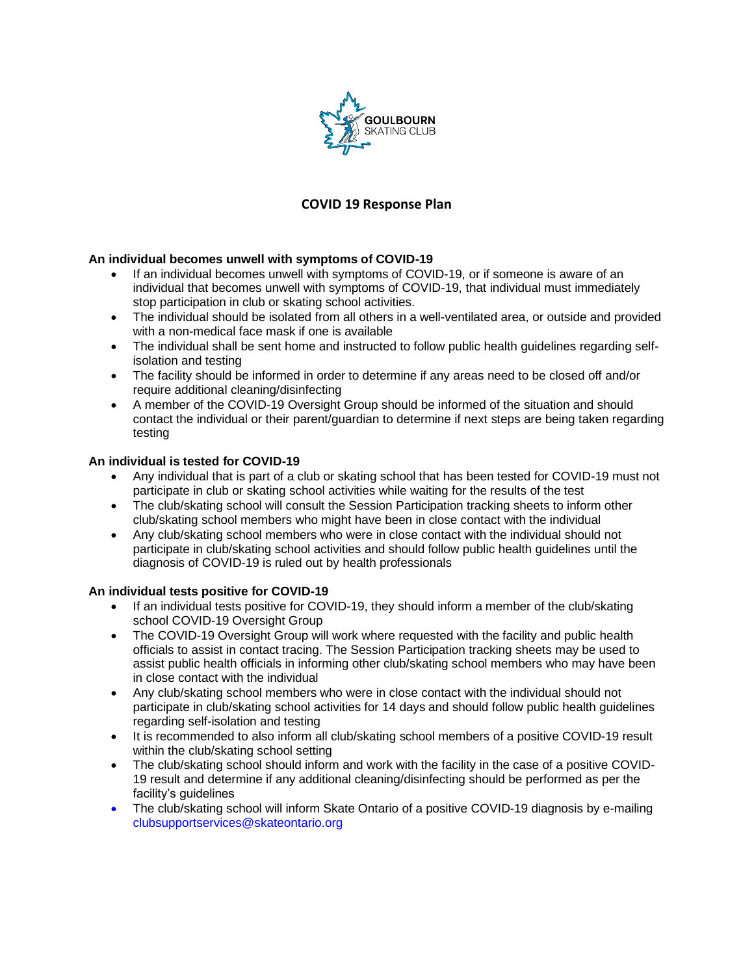

# **COVID 19 Response Plan**

## **An individual becomes unwell with symptoms of COVID-19**

- If an individual becomes unwell with symptoms of COVID-19, or if someone is aware of an individual that becomes unwell with symptoms of COVID-19, that individual must immediately stop participation in club or skating school activities.
- The individual should be isolated from all others in a well-ventilated area, or outside and provided with a non-medical face mask if one is available
- The individual shall be sent home and instructed to follow public health guidelines regarding selfisolation and testing
- The facility should be informed in order to determine if any areas need to be closed off and/or require additional cleaning/disinfecting
- A member of the COVID-19 Oversight Group should be informed of the situation and should contact the individual or their parent/guardian to determine if next steps are being taken regarding testing

## **An individual is tested for COVID-19**

- Any individual that is part of a club or skating school that has been tested for COVID-19 must not participate in club or skating school activities while waiting for the results of the test
- The club/skating school will consult the Session Participation tracking sheets to inform other club/skating school members who might have been in close contact with the individual
- Any club/skating school members who were in close contact with the individual should not participate in club/skating school activities and should follow public health guidelines until the diagnosis of COVID-19 is ruled out by health professionals

#### **An individual tests positive for COVID-19**

- If an individual tests positive for COVID-19, they should inform a member of the club/skating school COVID-19 Oversight Group
- The COVID-19 Oversight Group will work where requested with the facility and public health officials to assist in contact tracing. The Session Participation tracking sheets may be used to assist public health officials in informing other club/skating school members who may have been in close contact with the individual
- Any club/skating school members who were in close contact with the individual should not participate in club/skating school activities for 14 days and should follow public health guidelines regarding self-isolation and testing
- It is recommended to also inform all club/skating school members of a positive COVID-19 result within the club/skating school setting
- The club/skating school should inform and work with the facility in the case of a positive COVID-19 result and determine if any additional cleaning/disinfecting should be performed as per the facility's guidelines
- The club/skating school will inform Skate Ontario of a positive COVID-19 diagnosis by e-mailing clubsupportservices@skateontario.org